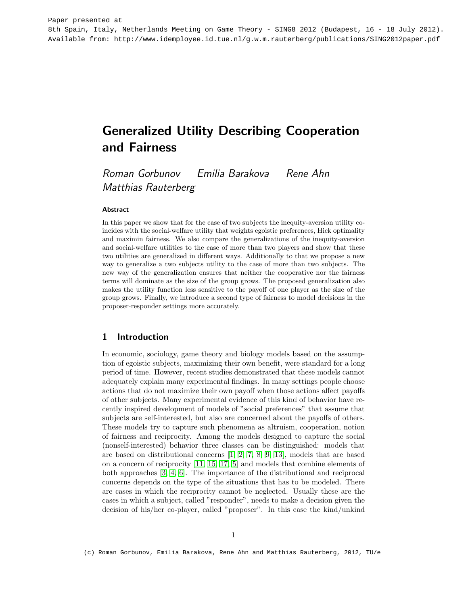# Generalized Utility Describing Cooperation and Fairness

Roman Gorbunov Emilia Barakova Rene Ahn Matthias Rauterberg

#### Abstract

In this paper we show that for the case of two subjects the inequity-aversion utility coincides with the social-welfare utility that weights egoistic preferences, Hick optimality and maximin fairness. We also compare the generalizations of the inequity-aversion and social-welfare utilities to the case of more than two players and show that these two utilities are generalized in different ways. Additionally to that we propose a new way to generalize a two subjects utility to the case of more than two subjects. The new way of the generalization ensures that neither the cooperative nor the fairness terms will dominate as the size of the group grows. The proposed generalization also makes the utility function less sensitive to the payoff of one player as the size of the group grows. Finally, we introduce a second type of fairness to model decisions in the proposer-responder settings more accurately.

## 1 Introduction

In economic, sociology, game theory and biology models based on the assumption of egoistic subjects, maximizing their own benefit, were standard for a long period of time. However, recent studies demonstrated that these models cannot adequately explain many experimental findings. In many settings people choose actions that do not maximize their own payoff when those actions affect payoffs of other subjects. Many experimental evidence of this kind of behavior have recently inspired development of models of "social preferences" that assume that subjects are self-interested, but also are concerned about the payoffs of others. These models try to capture such phenomena as altruism, cooperation, notion of fairness and reciprocity. Among the models designed to capture the social (nonself-interested) behavior three classes can be distinguished: models that are based on distributional concerns [\[1,](#page-16-0) [2,](#page-16-1) [7,](#page-16-2) [8,](#page-16-3) [9,](#page-16-4) [13\]](#page-16-5), models that are based on a concern of reciprocity [\[11,](#page-16-6) [15,](#page-17-0) [17,](#page-17-1) [5\]](#page-16-7) and models that combine elements of both approaches [\[3,](#page-16-8) [4,](#page-16-9) [6\]](#page-16-10). The importance of the distributional and reciprocal concerns depends on the type of the situations that has to be modeled. There are cases in which the reciprocity cannot be neglected. Usually these are the cases in which a subject, called "responder", needs to make a decision given the decision of his/her co-player, called "proposer". In this case the kind/unkind

<sup>(</sup>c) Roman Gorbunov, Emilia Barakova, Rene Ahn and Matthias Rauterberg, 2012, TU/e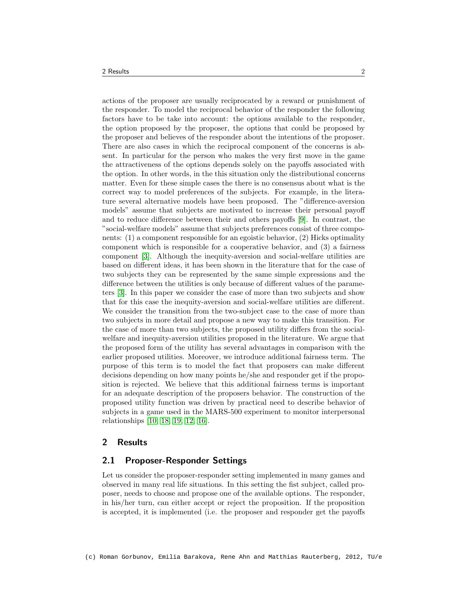actions of the proposer are usually reciprocated by a reward or punishment of the responder. To model the reciprocal behavior of the responder the following factors have to be take into account: the options available to the responder, the option proposed by the proposer, the options that could be proposed by the proposer and believes of the responder about the intentions of the proposer. There are also cases in which the reciprocal component of the concerns is absent. In particular for the person who makes the very first move in the game the attractiveness of the options depends solely on the payoffs associated with the option. In other words, in the this situation only the distributional concerns matter. Even for these simple cases the there is no consensus about what is the correct way to model preferences of the subjects. For example, in the literature several alternative models have been proposed. The "difference-aversion models" assume that subjects are motivated to increase their personal payoff and to reduce difference between their and others payoffs [\[9\]](#page-16-4). In contrast, the "social-welfare models" assume that subjects preferences consist of three components: (1) a component responsible for an egoistic behavior, (2) Hicks optimality component which is responsible for a cooperative behavior, and (3) a fairness component [\[3\]](#page-16-8). Although the inequity-aversion and social-welfare utilities are based on different ideas, it has been shown in the literature that for the case of two subjects they can be represented by the same simple expressions and the difference between the utilities is only because of different values of the parameters [\[3\]](#page-16-8). In this paper we consider the case of more than two subjects and show that for this case the inequity-aversion and social-welfare utilities are different. We consider the transition from the two-subject case to the case of more than two subjects in more detail and propose a new way to make this transition. For the case of more than two subjects, the proposed utility differs from the socialwelfare and inequity-aversion utilities proposed in the literature. We argue that the proposed form of the utility has several advantages in comparison with the earlier proposed utilities. Moreover, we introduce additional fairness term. The purpose of this term is to model the fact that proposers can make different decisions depending on how many points he/she and responder get if the proposition is rejected. We believe that this additional fairness terms is important for an adequate description of the proposers behavior. The construction of the proposed utility function was driven by practical need to describe behavior of subjects in a game used in the MARS-500 experiment to monitor interpersonal relationships [\[10,](#page-16-11) [18,](#page-17-2) [19,](#page-17-3) [12,](#page-16-12) [16\]](#page-17-4).

## 2 Results

## 2.1 Proposer-Responder Settings

Let us consider the proposer-responder setting implemented in many games and observed in many real life situations. In this setting the fist subject, called proposer, needs to choose and propose one of the available options. The responder, in his/her turn, can either accept or reject the proposition. If the proposition is accepted, it is implemented (i.e. the proposer and responder get the payoffs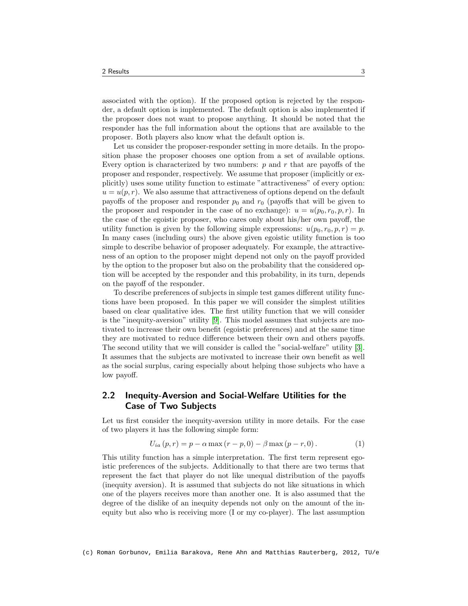associated with the option). If the proposed option is rejected by the responder, a default option is implemented. The default option is also implemented if the proposer does not want to propose anything. It should be noted that the responder has the full information about the options that are available to the proposer. Both players also know what the default option is.

Let us consider the proposer-responder setting in more details. In the proposition phase the proposer chooses one option from a set of available options. Every option is characterized by two numbers:  $p$  and  $r$  that are payoffs of the proposer and responder, respectively. We assume that proposer (implicitly or explicitly) uses some utility function to estimate "attractiveness" of every option:  $u = u(p, r)$ . We also assume that attractiveness of options depend on the default payoffs of the proposer and responder  $p_0$  and  $r_0$  (payoffs that will be given to the proposer and responder in the case of no exchange):  $u = u(p_0, r_0, p, r)$ . In the case of the egoistic proposer, who cares only about his/her own payoff, the utility function is given by the following simple expressions:  $u(p_0, r_0, p, r) = p$ . In many cases (including ours) the above given egoistic utility function is too simple to describe behavior of proposer adequately. For example, the attractiveness of an option to the proposer might depend not only on the payoff provided by the option to the proposer but also on the probability that the considered option will be accepted by the responder and this probability, in its turn, depends on the payoff of the responder.

To describe preferences of subjects in simple test games different utility functions have been proposed. In this paper we will consider the simplest utilities based on clear qualitative ides. The first utility function that we will consider is the "inequity-aversion" utility [\[9\]](#page-16-4). This model assumes that subjects are motivated to increase their own benefit (egoistic preferences) and at the same time they are motivated to reduce difference between their own and others payoffs. The second utility that we will consider is called the "social-welfare" utility [\[3\]](#page-16-8). It assumes that the subjects are motivated to increase their own benefit as well as the social surplus, caring especially about helping those subjects who have a low payoff.

# 2.2 Inequity-Aversion and Social-Welfare Utilities for the Case of Two Subjects

Let us first consider the inequity-aversion utility in more details. For the case of two players it has the following simple form:

<span id="page-2-0"></span>
$$
U_{ia}(p,r) = p - \alpha \max(r - p, 0) - \beta \max(p - r, 0).
$$
 (1)

This utility function has a simple interpretation. The first term represent egoistic preferences of the subjects. Additionally to that there are two terms that represent the fact that player do not like unequal distribution of the payoffs (inequity aversion). It is assumed that subjects do not like situations in which one of the players receives more than another one. It is also assumed that the degree of the dislike of an inequity depends not only on the amount of the inequity but also who is receiving more (I or my co-player). The last assumption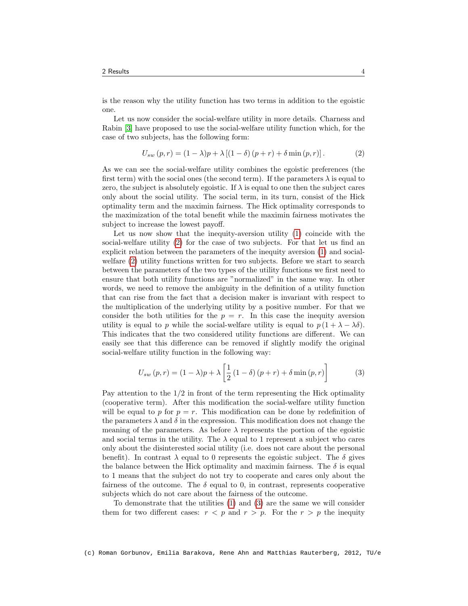is the reason why the utility function has two terms in addition to the egoistic one.

Let us now consider the social-welfare utility in more details. Charness and Rabin [\[3\]](#page-16-8) have proposed to use the social-welfare utility function which, for the case of two subjects, has the following form:

<span id="page-3-0"></span>
$$
U_{sw}(p,r) = (1 - \lambda)p + \lambda [(1 - \delta)(p + r) + \delta \min(p,r)].
$$
\n(2)

As we can see the social-welfare utility combines the egoistic preferences (the first term) with the social ones (the second term). If the parameters  $\lambda$  is equal to zero, the subject is absolutely egoistic. If  $\lambda$  is equal to one then the subject cares only about the social utility. The social term, in its turn, consist of the Hick optimality term and the maximin fairness. The Hick optimality corresponds to the maximization of the total benefit while the maximin fairness motivates the subject to increase the lowest payoff.

Let us now show that the inequity-aversion utility [\(1\)](#page-2-0) coincide with the social-welfare utility [\(2\)](#page-3-0) for the case of two subjects. For that let us find an explicit relation between the parameters of the inequity aversion [\(1\)](#page-2-0) and socialwelfare  $(2)$  utility functions written for two subjects. Before we start to search between the parameters of the two types of the utility functions we first need to ensure that both utility functions are "normalized" in the same way. In other words, we need to remove the ambiguity in the definition of a utility function that can rise from the fact that a decision maker is invariant with respect to the multiplication of the underlying utility by a positive number. For that we consider the both utilities for the  $p = r$ . In this case the inequity aversion utility is equal to p while the social-welfare utility is equal to  $p(1 + \lambda - \lambda \delta)$ . This indicates that the two considered utility functions are different. We can easily see that this difference can be removed if slightly modify the original social-welfare utility function in the following way:

<span id="page-3-1"></span>
$$
U_{sw}(p,r) = (1 - \lambda)p + \lambda \left[\frac{1}{2}(1 - \delta)(p + r) + \delta \min(p, r)\right]
$$
 (3)

Pay attention to the  $1/2$  in front of the term representing the Hick optimality (cooperative term). After this modification the social-welfare utility function will be equal to p for  $p = r$ . This modification can be done by redefinition of the parameters  $\lambda$  and  $\delta$  in the expression. This modification does not change the meaning of the parameters. As before  $\lambda$  represents the portion of the egoistic and social terms in the utility. The  $\lambda$  equal to 1 represent a subject who cares only about the disinterested social utility (i.e. does not care about the personal benefit). In contrast  $\lambda$  equal to 0 represents the egoistic subject. The  $\delta$  gives the balance between the Hick optimality and maximin fairness. The  $\delta$  is equal to 1 means that the subject do not try to cooperate and cares only about the fairness of the outcome. The  $\delta$  equal to 0, in contrast, represents cooperative subjects which do not care about the fairness of the outcome.

To demonstrate that the utilities [\(1\)](#page-2-0) and [\(3\)](#page-3-1) are the same we will consider them for two different cases:  $r < p$  and  $r > p$ . For the  $r > p$  the inequity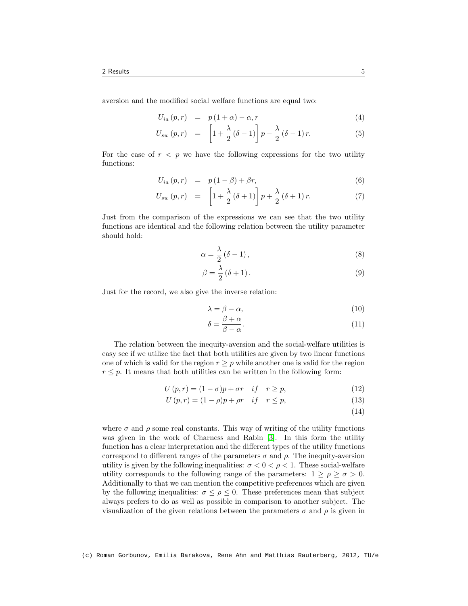aversion and the modified social welfare functions are equal two:

$$
U_{ia}(p,r) = p(1+\alpha) - \alpha, r \tag{4}
$$

$$
U_{sw}(p,r) = \left[1 + \frac{\lambda}{2}(\delta - 1)\right]p - \frac{\lambda}{2}(\delta - 1)r.
$$
 (5)

For the case of  $r < p$  we have the following expressions for the two utility functions:

$$
U_{ia}(p,r) = p(1-\beta) + \beta r, \qquad (6)
$$

$$
U_{sw}(p,r) = \left[1 + \frac{\lambda}{2}(\delta + 1)\right]p + \frac{\lambda}{2}(\delta + 1)r.
$$
 (7)

Just from the comparison of the expressions we can see that the two utility functions are identical and the following relation between the utility parameter should hold:

$$
\alpha = \frac{\lambda}{2} (\delta - 1), \tag{8}
$$

$$
\beta = \frac{\lambda}{2} (\delta + 1). \tag{9}
$$

Just for the record, we also give the inverse relation:

$$
\lambda = \beta - \alpha,\tag{10}
$$

$$
\delta = \frac{\beta + \alpha}{\beta - \alpha}.\tag{11}
$$

The relation between the inequity-aversion and the social-welfare utilities is easy see if we utilize the fact that both utilities are given by two linear functions one of which is valid for the region  $r \geq p$  while another one is valid for the region  $r \leq p$ . It means that both utilities can be written in the following form:

$$
U(p,r) = (1 - \sigma)p + \sigma r \quad if \quad r \ge p,
$$
\n<sup>(12)</sup>

$$
U(p,r) = (1 - \rho)p + \rho r \quad if \quad r \le p,\tag{13}
$$

(14)

where  $\sigma$  and  $\rho$  some real constants. This way of writing of the utility functions was given in the work of Charness and Rabin [\[3\]](#page-16-8). In this form the utility function has a clear interpretation and the different types of the utility functions correspond to different ranges of the parameters  $\sigma$  and  $\rho$ . The inequity-aversion utility is given by the following inequalities:  $\sigma < 0 < \rho < 1$ . These social-welfare utility corresponds to the following range of the parameters:  $1 \ge \rho \ge \sigma > 0$ . Additionally to that we can mention the competitive preferences which are given by the following inequalities:  $\sigma \leq \rho \leq 0$ . These preferences mean that subject always prefers to do as well as possible in comparison to another subject. The visualization of the given relations between the parameters  $\sigma$  and  $\rho$  is given in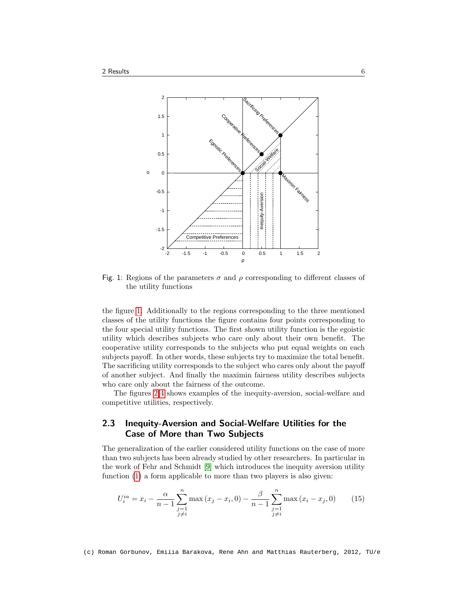

<span id="page-5-0"></span>Fig. 1: Regions of the parameters  $\sigma$  and  $\rho$  corresponding to different classes of the utility functions

the figure [1.](#page-5-0) Additionally to the regions corresponding to the three mentioned classes of the utility functions the figure contains four points corresponding to the four special utility functions. The first shown utility function is the egoistic utility which describes subjects who care only about their own benefit. The cooperative utility corresponds to the subjects who put equal weights on each subjects payoff. In other words, these subjects try to maximize the total benefit. The sacrificing utility corresponds to the subject who cares only about the payoff of another subject. And finally the maximin fairness utility describes subjects who care only about the fairness of the outcome.

The figures [2](#page-6-0)[-4](#page-7-0) shows examples of the inequity-aversion, social-welfare and competitive utilities, respectively.

# 2.3 Inequity-Aversion and Social-Welfare Utilities for the Case of More than Two Subjects

The generalization of the earlier considered utility functions on the case of more than two subjects has been already studied by other researchers. In particular in the work of Fehr and Schmidt [\[9\]](#page-16-4) which introduces the inequity aversion utility function [\(1\)](#page-2-0) a form applicable to more than two players is also given:

<span id="page-5-1"></span>
$$
U_i^{ia} = x_i - \frac{\alpha}{n-1} \sum_{\substack{j=1 \ j \neq i}}^n \max(x_j - x_i, 0) - \frac{\beta}{n-1} \sum_{\substack{j=1 \ j \neq i}}^n \max(x_i - x_j, 0) \tag{15}
$$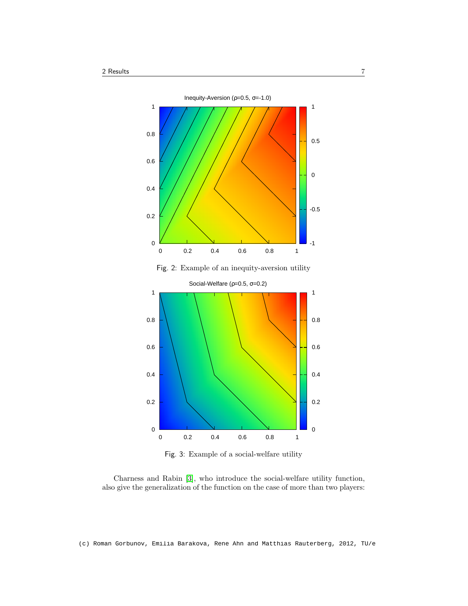

<span id="page-6-0"></span>Fig. 2: Example of an inequity-aversion utility



Fig. 3: Example of a social-welfare utility

Charness and Rabin [\[3\]](#page-16-8), who introduce the social-welfare utility function, also give the generalization of the function on the case of more than two players:

(c) Roman Gorbunov, Emilia Barakova, Rene Ahn and Matthias Rauterberg, 2012, TU/e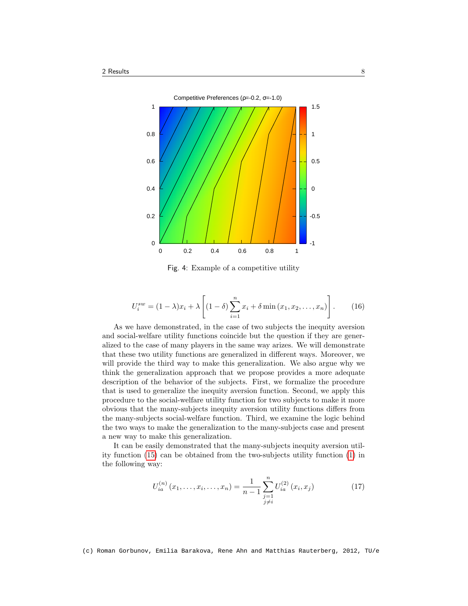

<span id="page-7-0"></span>Fig. 4: Example of a competitive utility

<span id="page-7-1"></span>
$$
U_i^{sw} = (1 - \lambda)x_i + \lambda \left[ (1 - \delta) \sum_{i=1}^n x_i + \delta \min(x_1, x_2, \dots, x_n) \right].
$$
 (16)

As we have demonstrated, in the case of two subjects the inequity aversion and social-welfare utility functions coincide but the question if they are generalized to the case of many players in the same way arizes. We will demonstrate that these two utility functions are generalized in different ways. Moreover, we will provide the third way to make this generalization. We also argue why we think the generalization approach that we propose provides a more adequate description of the behavior of the subjects. First, we formalize the procedure that is used to generalize the inequity aversion function. Second, we apply this procedure to the social-welfare utility function for two subjects to make it more obvious that the many-subjects inequity aversion utility functions differs from the many-subjects social-welfare function. Third, we examine the logic behind the two ways to make the generalization to the many-subjects case and present a new way to make this generalization.

It can be easily demonstrated that the many-subjects inequity aversion utility function [\(15\)](#page-5-1) can be obtained from the two-subjects utility function [\(1\)](#page-2-0) in the following way:

$$
U_{ia}^{(n)}(x_1,\ldots,x_i,\ldots,x_n) = \frac{1}{n-1} \sum_{\substack{j=1 \ j \neq i}}^n U_{ia}^{(2)}(x_i,x_j)
$$
 (17)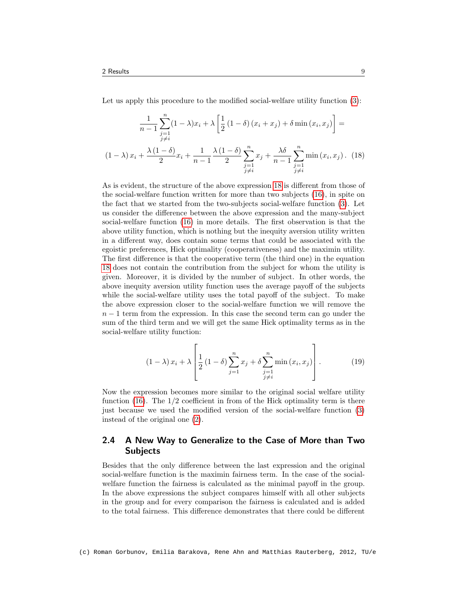Let us apply this procedure to the modified social-welfare utility function  $(3)$ :

<span id="page-8-0"></span>
$$
\frac{1}{n-1} \sum_{\substack{j=1 \ j \neq i}}^{n} (1-\lambda)x_i + \lambda \left[ \frac{1}{2} (1-\delta)(x_i + x_j) + \delta \min(x_i, x_j) \right] =
$$
\n
$$
(1-\lambda)x_i + \frac{\lambda(1-\delta)}{2}x_i + \frac{1}{n-1} \frac{\lambda(1-\delta)}{2} \sum_{\substack{j=1 \ j \neq i}}^{n} x_j + \frac{\lambda \delta}{n-1} \sum_{\substack{j=1 \ j \neq i}}^{n} \min(x_i, x_j). \tag{18}
$$

As is evident, the structure of the above expression [18](#page-8-0) is different from those of the social-welfare function written for more than two subjects [\(16\)](#page-7-1), in spite on the fact that we started from the two-subjects social-welfare function [\(3\)](#page-3-1). Let us consider the difference between the above expression and the many-subject social-welfare function [\(16\)](#page-7-1) in more details. The first observation is that the above utility function, which is nothing but the inequity aversion utility written in a different way, does contain some terms that could be associated with the egoistic preferences, Hick optimality (cooperativeness) and the maximin utility. The first difference is that the cooperative term (the third one) in the equation [18](#page-8-0) does not contain the contribution from the subject for whom the utility is given. Moreover, it is divided by the number of subject. In other words, the above inequity aversion utility function uses the average payoff of the subjects while the social-welfare utility uses the total payoff of the subject. To make the above expression closer to the social-welfare function we will remove the  $n-1$  term from the expression. In this case the second term can go under the sum of the third term and we will get the same Hick optimality terms as in the social-welfare utility function:

$$
(1 - \lambda) x_i + \lambda \left[ \frac{1}{2} \left( 1 - \delta \right) \sum_{j=1}^n x_j + \delta \sum_{\substack{j=1 \\ j \neq i}}^n \min \left( x_i, x_j \right) \right]. \tag{19}
$$

Now the expression becomes more similar to the original social welfare utility function [\(16\)](#page-7-1). The  $1/2$  coefficient in from of the Hick optimality term is there just because we used the modified version of the social-welfare function [\(3\)](#page-3-1) instead of the original one [\(2\)](#page-3-0).

## 2.4 A New Way to Generalize to the Case of More than Two Subjects

Besides that the only difference between the last expression and the original social-welfare function is the maximin fairness term. In the case of the socialwelfare function the fairness is calculated as the minimal payoff in the group. In the above expressions the subject compares himself with all other subjects in the group and for every comparison the fairness is calculated and is added to the total fairness. This difference demonstrates that there could be different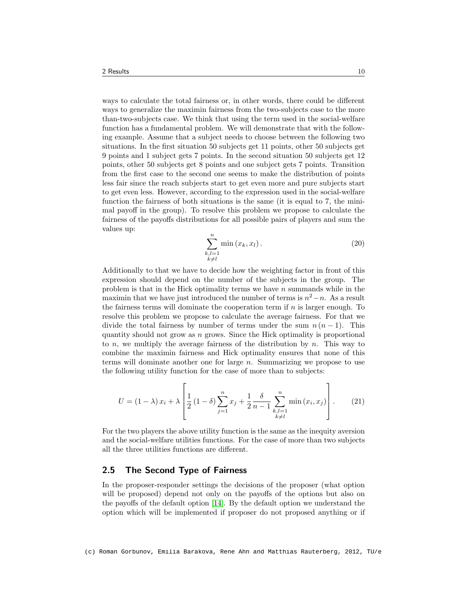ways to calculate the total fairness or, in other words, there could be different ways to generalize the maximin fairness from the two-subjects case to the more than-two-subjects case. We think that using the term used in the social-welfare function has a fundamental problem. We will demonstrate that with the following example. Assume that a subject needs to choose between the following two situations. In the first situation 50 subjects get 11 points, other 50 subjects get 9 points and 1 subject gets 7 points. In the second situation 50 subjects get 12 points, other 50 subjects get 8 points and one subject gets 7 points. Transition from the first case to the second one seems to make the distribution of points less fair since the reach subjects start to get even more and pure subjects start to get even less. However, according to the expression used in the social-welfare function the fairness of both situations is the same (it is equal to 7, the minimal payoff in the group). To resolve this problem we propose to calculate the fairness of the payoffs distributions for all possible pairs of players and sum the values up:

<span id="page-9-0"></span>
$$
\sum_{\substack{k,l=1\\k\neq l}}^{n} \min\left(x_k, x_l\right). \tag{20}
$$

Additionally to that we have to decide how the weighting factor in front of this expression should depend on the number of the subjects in the group. The problem is that in the Hick optimality terms we have  $n$  summands while in the maximin that we have just introduced the number of terms is  $n^2 - n$ . As a result the fairness terms will dominate the cooperation term if  $n$  is larger enough. To resolve this problem we propose to calculate the average fairness. For that we divide the total fairness by number of terms under the sum  $n (n - 1)$ . This quantity should not grow as  $n$  grows. Since the Hick optimality is proportional to n, we multiply the average fairness of the distribution by n. This way to combine the maximin fairness and Hick optimality ensures that none of this terms will dominate another one for large  $n$ . Summarizing we propose to use the following utility function for the case of more than to subjects:

$$
U = (1 - \lambda) x_i + \lambda \left[ \frac{1}{2} (1 - \delta) \sum_{j=1}^n x_j + \frac{1}{2} \frac{\delta}{n-1} \sum_{\substack{k,l=1 \\ k \neq l}}^n \min(x_i, x_j) \right].
$$
 (21)

For the two players the above utility function is the same as the inequity aversion and the social-welfare utilities functions. For the case of more than two subjects all the three utilities functions are different.

## 2.5 The Second Type of Fairness

In the proposer-responder settings the decisions of the proposer (what option will be proposed) depend not only on the payoffs of the options but also on the payoffs of the default option [\[14\]](#page-16-13). By the default option we understand the option which will be implemented if proposer do not proposed anything or if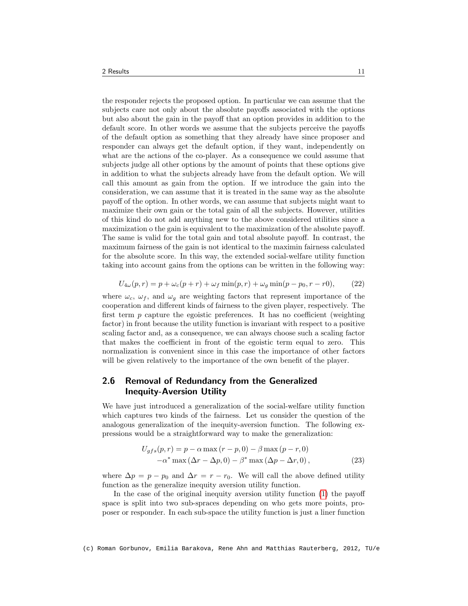the responder rejects the proposed option. In particular we can assume that the subjects care not only about the absolute payoffs associated with the options but also about the gain in the payoff that an option provides in addition to the default score. In other words we assume that the subjects perceive the payoffs of the default option as something that they already have since proposer and responder can always get the default option, if they want, independently on what are the actions of the co-player. As a consequence we could assume that subjects judge all other options by the amount of points that these options give in addition to what the subjects already have from the default option. We will call this amount as gain from the option. If we introduce the gain into the consideration, we can assume that it is treated in the same way as the absolute payoff of the option. In other words, we can assume that subjects might want to maximize their own gain or the total gain of all the subjects. However, utilities of this kind do not add anything new to the above considered utilities since a maximization o the gain is equivalent to the maximization of the absolute payoff. The same is valid for the total gain and total absolute payoff. In contrast, the maximum fairness of the gain is not identical to the maximin fairness calculated for the absolute score. In this way, the extended social-welfare utility function taking into account gains from the options can be written in the following way:

<span id="page-10-0"></span>
$$
U_{4\omega}(p,r) = p + \omega_c(p+r) + \omega_f \min(p,r) + \omega_g \min(p-p_0, r-r_0),
$$
 (22)

where  $\omega_c$ ,  $\omega_f$ , and  $\omega_g$  are weighting factors that represent importance of the cooperation and different kinds of fairness to the given player, respectively. The first term  $p$  capture the egoistic preferences. It has no coefficient (weighting factor) in front because the utility function is invariant with respect to a positive scaling factor and, as a consequence, we can always choose such a scaling factor that makes the coefficient in front of the egoistic term equal to zero. This normalization is convenient since in this case the importance of other factors will be given relatively to the importance of the own benefit of the player.

# 2.6 Removal of Redundancy from the Generalized Inequity-Aversion Utility

We have just introduced a generalization of the social-welfare utility function which captures two kinds of the fairness. Let us consider the question of the analogous generalization of the inequity-aversion function. The following expressions would be a straightforward way to make the generalization:

$$
U_{gfs}(p,r) = p - \alpha \max(r - p, 0) - \beta \max(p - r, 0)
$$

$$
-\alpha^* \max(\Delta r - \Delta p, 0) - \beta^* \max(\Delta p - \Delta r, 0),
$$
(23)

where  $\Delta p = p - p_0$  and  $\Delta r = r - r_0$ . We will call the above defined utility function as the generalize inequity aversion utility function.

In the case of the original inequity aversion utility function [\(1\)](#page-2-0) the payoff space is split into two sub-spraces depending on who gets more points, proposer or responder. In each sub-space the utility function is just a liner function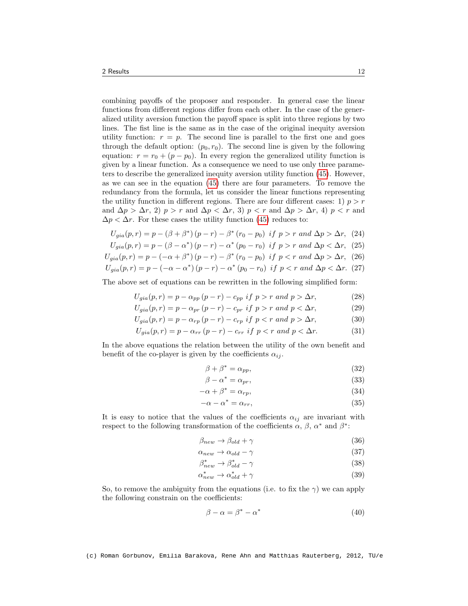combining payoffs of the proposer and responder. In general case the linear functions from different regions differ from each other. In the case of the generalized utility aversion function the payoff space is split into three regions by two lines. The fist line is the same as in the case of the original inequity aversion utility function:  $r = p$ . The second line is parallel to the first one and goes through the default option:  $(p_0, r_0)$ . The second line is given by the following equation:  $r = r_0 + (p - p_0)$ . In every region the generalized utility function is given by a linear function. As a consequence we need to use only three parameters to describe the generalized inequity aversion utility function [\(45\)](#page-12-0). However, as we can see in the equation [\(45\)](#page-12-0) there are four parameters. To remove the redundancy from the formula, let us consider the linear functions representing the utility function in different regions. There are four different cases: 1)  $p > r$ and  $\Delta p > \Delta r$ , 2)  $p > r$  and  $\Delta p < \Delta r$ , 3)  $p < r$  and  $\Delta p > \Delta r$ , 4)  $p < r$  and  $\Delta p < \Delta r$ . For these cases the utility function [\(45\)](#page-12-0) reduces to:

$$
U_{gia}(p,r) = p - (\beta + \beta^*) (p - r) - \beta^* (r_0 - p_0) \text{ if } p > r \text{ and } \Delta p > \Delta r, \tag{24}
$$

$$
U_{gia}(p,r) = p - (\beta - \alpha^*) (p - r) - \alpha^* (p_0 - r_0) \text{ if } p > r \text{ and } \Delta p < \Delta r, (25)
$$

$$
U_{gia}(p,r) = p - (-\alpha + \beta^*) (p - r) - \beta^* (r_0 - p_0) \text{ if } p < r \text{ and } \Delta p > \Delta r, \tag{26}
$$

$$
U_{gia}(p,r) = p - (-\alpha - \alpha^*) (p - r) - \alpha^* (p_0 - r_0) \text{ if } p < r \text{ and } \Delta p < \Delta r. \tag{27}
$$

The above set of equations can be rewritten in the following simplified form:

$$
U_{gia}(p,r) = p - \alpha_{pp} (p - r) - c_{pp} if p > r and p > \Delta r,
$$
\n(28)

$$
U_{gia}(p,r) = p - \alpha_{pr}(p-r) - c_{pr} \text{ if } p > r \text{ and } p < \Delta r,
$$
\n
$$
(29)
$$

$$
U_{gia}(p,r) = p - \alpha_{rp} (p - r) - c_{rp} if p < r and p > \Delta r,
$$
\n(30)

$$
U_{gia}(p,r) = p - \alpha_{rr}(p-r) - c_{rr} \text{ if } p < r \text{ and } p < \Delta r. \tag{31}
$$

In the above equations the relation between the utility of the own benefit and benefit of the co-player is given by the coefficients  $\alpha_{ij}$ .

$$
\beta + \beta^* = \alpha_{pp},\tag{32}
$$

<span id="page-11-0"></span>
$$
\beta - \alpha^* = \alpha_{pr},\tag{33}
$$

$$
-\alpha + \beta^* = \alpha_{rp},\tag{34}
$$

$$
-\alpha - \alpha^* = \alpha_{rr},\tag{35}
$$

It is easy to notice that the values of the coefficients  $\alpha_{ij}$  are invariant with respect to the following transformation of the coefficients  $\alpha$ ,  $\beta$ ,  $\alpha^*$  and  $\beta^*$ :

$$
\beta_{new} \to \beta_{old} + \gamma \tag{36}
$$

$$
\alpha_{new} \to \alpha_{old} - \gamma \tag{37}
$$

$$
\beta_{new}^* \to \beta_{old}^* - \gamma \tag{38}
$$

$$
\alpha_{new}^* \to \alpha_{old}^* + \gamma \tag{39}
$$

So, to remove the ambiguity from the equations (i.e. to fix the  $\gamma$ ) we can apply the following constrain on the coefficients:

<span id="page-11-1"></span>
$$
\beta - \alpha = \beta^* - \alpha^* \tag{40}
$$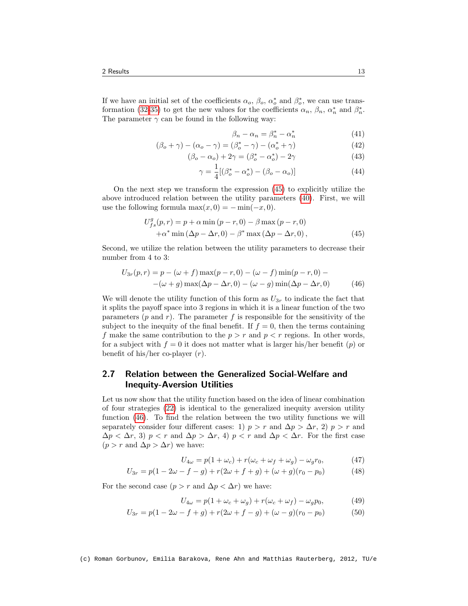If we have an initial set of the coefficients  $\alpha_o$ ,  $\beta_o$ ,  $\alpha_o^*$  and  $\beta_o^*$ , we can use trans-formation [\(32-35\)](#page-11-0) to get the new values for the coefficients  $\alpha_n$ ,  $\beta_n$ ,  $\alpha_n^*$  and  $\beta_n^*$ . The parameter  $\gamma$  can be found in the following way:

$$
\beta_n - \alpha_n = \beta_n^* - \alpha_n^* \tag{41}
$$

$$
(\beta_o + \gamma) - (\alpha_o - \gamma) = (\beta_o^* - \gamma) - (\alpha_o^* + \gamma)
$$
\n(42)

$$
(\beta_o - \alpha_o) + 2\gamma = (\beta_o^* - \alpha_o^*) - 2\gamma \tag{43}
$$

$$
\gamma = \frac{1}{4} [(\beta_o^* - \alpha_o^*) - (\beta_o - \alpha_o)]
$$
\n(44)

On the next step we transform the expression [\(45\)](#page-12-0) to explicitly utilize the above introduced relation between the utility parameters [\(40\)](#page-11-1). First, we will use the following formula  $\max(x, 0) = -\min(-x, 0)$ .

<span id="page-12-0"></span>
$$
U_{fs}^{g}(p,r) = p + \alpha \min (p - r, 0) - \beta \max (p - r, 0)
$$

$$
+ \alpha^* \min (\Delta p - \Delta r, 0) - \beta^* \max (\Delta p - \Delta r, 0),
$$
(45)

Second, we utilize the relation between the utility parameters to decrease their number from 4 to 3:

<span id="page-12-1"></span>
$$
U_{3r}(p,r) = p - (\omega + f) \max(p - r, 0) - (\omega - f) \min(p - r, 0) - (\omega + g) \max(\Delta p - \Delta r, 0) - (\omega - g) \min(\Delta p - \Delta r, 0)
$$
(46)

We will denote the utility function of this form as  $U_{3r}$  to indicate the fact that it splits the payoff space into 3 regions in which it is a linear function of the two parameters  $(p \text{ and } r)$ . The parameter f is responsible for the sensitivity of the subject to the inequity of the final benefit. If  $f = 0$ , then the terms containing f make the same contribution to the  $p > r$  and  $p < r$  regions. In other words, for a subject with  $f = 0$  it does not matter what is larger his/her benefit (p) or benefit of his/her co-player  $(r)$ .

# 2.7 Relation between the Generalized Social-Welfare and Inequity-Aversion Utilities

Let us now show that the utility function based on the idea of linear combination of four strategies [\(22\)](#page-10-0) is identical to the generalized inequity aversion utility function [\(46\)](#page-12-1). To find the relation between the two utility functions we will separately consider four different cases: 1)  $p > r$  and  $\Delta p > \Delta r$ , 2)  $p > r$  and  $\Delta p < \Delta r$ , 3)  $p < r$  and  $\Delta p > \Delta r$ , 4)  $p < r$  and  $\Delta p < \Delta r$ . For the first case  $(p > r \text{ and } \Delta p > \Delta r)$  we have:

$$
U_{4\omega} = p(1 + \omega_c) + r(\omega_c + \omega_f + \omega_g) - \omega_g r_0, \qquad (47)
$$

$$
U_{3r} = p(1 - 2\omega - f - g) + r(2\omega + f + g) + (\omega + g)(r_0 - p_0)
$$
 (48)

For the second case  $(p > r \text{ and } \Delta p < \Delta r)$  we have:

$$
U_{4\omega} = p(1 + \omega_c + \omega_g) + r(\omega_c + \omega_f) - \omega_g p_0, \tag{49}
$$

$$
U_{3r} = p(1 - 2\omega - f + g) + r(2\omega + f - g) + (\omega - g)(r_0 - p_0)
$$
 (50)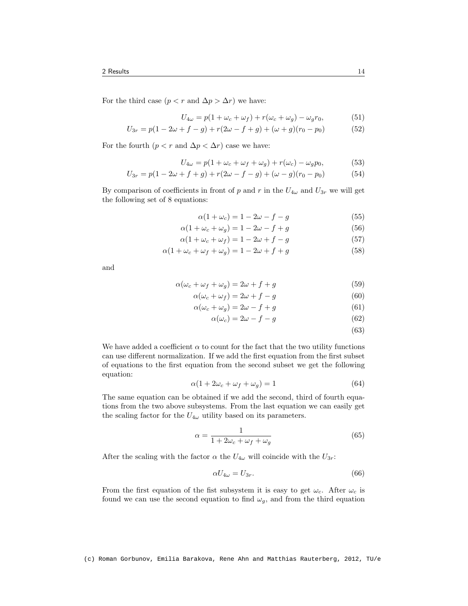For the third case  $(p < r$  and  $\Delta p > \Delta r)$  we have:

$$
U_{4\omega} = p(1 + \omega_c + \omega_f) + r(\omega_c + \omega_g) - \omega_g r_0, \tag{51}
$$

$$
U_{3r} = p(1 - 2\omega + f - g) + r(2\omega - f + g) + (\omega + g)(r_0 - p_0)
$$
 (52)

For the fourth  $(p < r$  and  $\Delta p < \Delta r)$  case we have:

$$
U_{4\omega} = p(1 + \omega_c + \omega_f + \omega_g) + r(\omega_c) - \omega_g p_0, \tag{53}
$$

$$
U_{3r} = p(1 - 2\omega + f + g) + r(2\omega - f - g) + (\omega - g)(r_0 - p_0)
$$
(54)

By comparison of coefficients in front of p and r in the  $U_{4\omega}$  and  $U_{3r}$  we will get the following set of 8 equations:

$$
\alpha(1+\omega_c) = 1 - 2\omega - f - g \tag{55}
$$

$$
\alpha(1 + \omega_c + \omega_g) = 1 - 2\omega - f + g \tag{56}
$$

$$
\alpha(1 + \omega_c + \omega_f) = 1 - 2\omega + f - g \tag{57}
$$

$$
\alpha(1 + \omega_c + \omega_f + \omega_g) = 1 - 2\omega + f + g \tag{58}
$$

and

$$
\alpha(\omega_c + \omega_f + \omega_g) = 2\omega + f + g \tag{59}
$$

$$
\alpha(\omega_c + \omega_f) = 2\omega + f - g \tag{60}
$$

$$
\alpha(\omega_c + \omega_g) = 2\omega - f + g \tag{61}
$$

$$
\alpha(\omega_c) = 2\omega - f - g \tag{62}
$$

(63)

We have added a coefficient  $\alpha$  to count for the fact that the two utility functions can use different normalization. If we add the first equation from the first subset of equations to the first equation from the second subset we get the following equation:

$$
\alpha(1 + 2\omega_c + \omega_f + \omega_g) = 1\tag{64}
$$

The same equation can be obtained if we add the second, third of fourth equations from the two above subsystems. From the last equation we can easily get the scaling factor for the  $U_{4\omega}$  utility based on its parameters.

$$
\alpha = \frac{1}{1 + 2\omega_c + \omega_f + \omega_g} \tag{65}
$$

After the scaling with the factor  $\alpha$  the  $U_{4\omega}$  will coincide with the  $U_{3r}$ :

$$
\alpha U_{4\omega} = U_{3r}.\tag{66}
$$

From the first equation of the fist subsystem it is easy to get  $\omega_c$ . After  $\omega_c$  is found we can use the second equation to find  $\omega_g$ , and from the third equation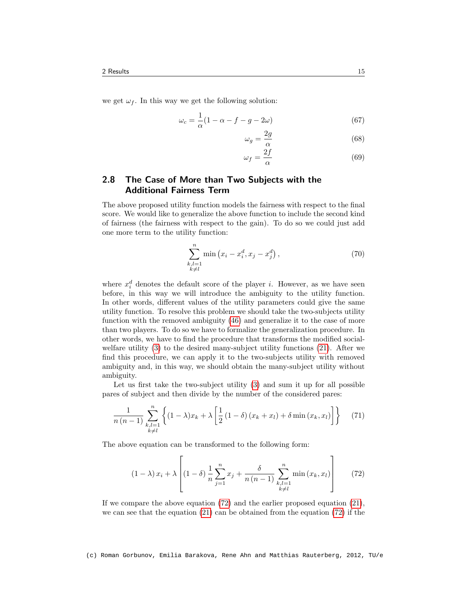we get  $\omega_f$ . In this way we get the following solution:

$$
\omega_c = \frac{1}{\alpha} (1 - \alpha - f - g - 2\omega) \tag{67}
$$

$$
\omega_g = \frac{2g}{\alpha} \tag{68}
$$

$$
\omega_f = \frac{2f}{\alpha} \tag{69}
$$

# 2.8 The Case of More than Two Subjects with the Additional Fairness Term

The above proposed utility function models the fairness with respect to the final score. We would like to generalize the above function to include the second kind of fairness (the fairness with respect to the gain). To do so we could just add one more term to the utility function:

$$
\sum_{\substack{k,l=1\\k\neq l}}^{n} \min\left(x_i - x_i^d, x_j - x_j^d\right),\tag{70}
$$

where  $x_i^d$  denotes the default score of the player *i*. However, as we have seen before, in this way we will introduce the ambiguity to the utility function. In other words, different values of the utility parameters could give the same utility function. To resolve this problem we should take the two-subjects utility function with the removed ambiguity [\(46\)](#page-12-1) and generalize it to the case of more than two players. To do so we have to formalize the generalization procedure. In other words, we have to find the procedure that transforms the modified socialwelfare utility [\(3\)](#page-3-1) to the desired many-subject utility functions [\(21\)](#page-9-0). After we find this procedure, we can apply it to the two-subjects utility with removed ambiguity and, in this way, we should obtain the many-subject utility without ambiguity.

Let us first take the two-subject utility [\(3\)](#page-3-1) and sum it up for all possible pares of subject and then divide by the number of the considered pares:

$$
\frac{1}{n(n-1)}\sum_{\substack{k,l=1\\k\neq l}}^{n} \left\{ (1-\lambda)x_k + \lambda \left[ \frac{1}{2} (1-\delta)(x_k+x_l) + \delta \min(x_k,x_l) \right] \right\} \tag{71}
$$

The above equation can be transformed to the following form:

<span id="page-14-0"></span>
$$
(1 - \lambda) x_i + \lambda \left[ (1 - \delta) \frac{1}{n} \sum_{j=1}^n x_j + \frac{\delta}{n(n-1)} \sum_{\substack{k,l=1 \\ k \neq l}}^n \min(x_k, x_l) \right]
$$
(72)

If we compare the above equation [\(72\)](#page-14-0) and the earlier proposed equation [\(21\)](#page-9-0), we can see that the equation [\(21\)](#page-9-0) can be obtained from the equation [\(72\)](#page-14-0) if the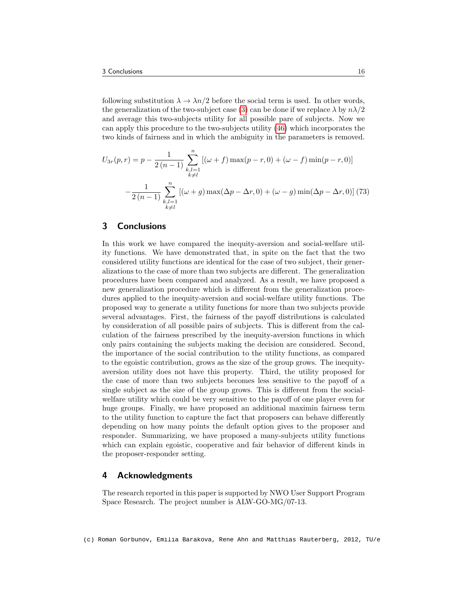following substitution  $\lambda \to \lambda n/2$  before the social term is used. In other words, the generalization of the two-subject case [\(3\)](#page-3-1) can be done if we replace  $\lambda$  by  $n\lambda/2$ and average this two-subjects utility for all possible pare of subjects. Now we can apply this procedure to the two-subjects utility [\(46\)](#page-12-1) which incorporates the two kinds of fairness and in which the ambiguity in the parameters is removed.

$$
U_{3r}(p,r) = p - \frac{1}{2(n-1)} \sum_{\substack{k,l=1\\k \neq l}}^{n} [(\omega + f) \max(p-r, 0) + (\omega - f) \min(p-r, 0)]
$$

$$
-\frac{1}{2(n-1)} \sum_{\substack{k,l=1\\k \neq l}}^{n} [(\omega + g) \max(\Delta p - \Delta r, 0) + (\omega - g) \min(\Delta p - \Delta r, 0)] \tag{73}
$$

## 3 Conclusions

In this work we have compared the inequity-aversion and social-welfare utility functions. We have demonstrated that, in spite on the fact that the two considered utility functions are identical for the case of two subject, their generalizations to the case of more than two subjects are different. The generalization procedures have been compared and analyzed. As a result, we have proposed a new generalization procedure which is different from the generalization procedures applied to the inequity-aversion and social-welfare utility functions. The proposed way to generate a utility functions for more than two subjects provide several advantages. First, the fairness of the payoff distributions is calculated by consideration of all possible pairs of subjects. This is different from the calculation of the fairness prescribed by the inequity-aversion functions in which only pairs containing the subjects making the decision are considered. Second, the importance of the social contribution to the utility functions, as compared to the egoistic contribution, grows as the size of the group grows. The inequityaversion utility does not have this property. Third, the utility proposed for the case of more than two subjects becomes less sensitive to the payoff of a single subject as the size of the group grows. This is different from the socialwelfare utility which could be very sensitive to the payoff of one player even for huge groups. Finally, we have proposed an additional maximin fairness term to the utility function to capture the fact that proposers can behave differently depending on how many points the default option gives to the proposer and responder. Summarizing, we have proposed a many-subjects utility functions which can explain egoistic, cooperative and fair behavior of different kinds in the proposer-responder setting.

#### 4 Acknowledgments

The research reported in this paper is supported by NWO User Support Program Space Research. The project number is ALW-GO-MG/07-13.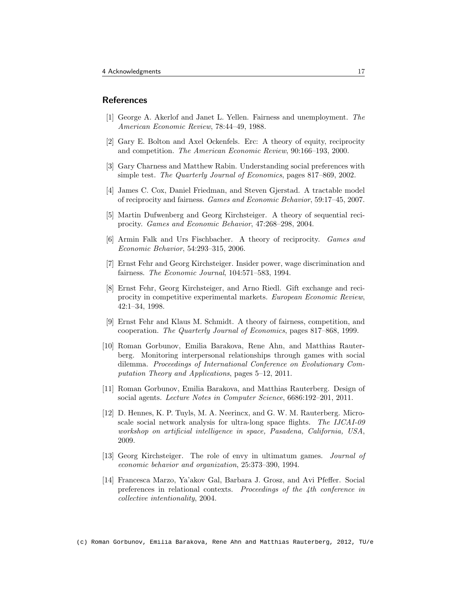#### References

- <span id="page-16-0"></span>[1] George A. Akerlof and Janet L. Yellen. Fairness and unemployment. The American Economic Review, 78:44–49, 1988.
- <span id="page-16-1"></span>[2] Gary E. Bolton and Axel Ockenfels. Erc: A theory of equity, reciprocity and competition. The American Economic Review, 90:166–193, 2000.
- <span id="page-16-8"></span>[3] Gary Charness and Matthew Rabin. Understanding social preferences with simple test. The Quarterly Journal of Economics, pages 817–869, 2002.
- <span id="page-16-9"></span>[4] James C. Cox, Daniel Friedman, and Steven Gjerstad. A tractable model of reciprocity and fairness. Games and Economic Behavior, 59:17–45, 2007.
- <span id="page-16-7"></span>[5] Martin Dufwenberg and Georg Kirchsteiger. A theory of sequential reciprocity. Games and Economic Behavior, 47:268–298, 2004.
- <span id="page-16-10"></span>[6] Armin Falk and Urs Fischbacher. A theory of reciprocity. Games and Economic Behavior, 54:293–315, 2006.
- <span id="page-16-2"></span>[7] Ernst Fehr and Georg Kirchsteiger. Insider power, wage discrimination and fairness. The Economic Journal, 104:571–583, 1994.
- <span id="page-16-3"></span>[8] Ernst Fehr, Georg Kirchsteiger, and Arno Riedl. Gift exchange and reciprocity in competitive experimental markets. European Economic Review, 42:1–34, 1998.
- <span id="page-16-4"></span>[9] Ernst Fehr and Klaus M. Schmidt. A theory of fairness, competition, and cooperation. The Quarterly Journal of Economics, pages 817–868, 1999.
- <span id="page-16-11"></span>[10] Roman Gorbunov, Emilia Barakova, Rene Ahn, and Matthias Rauterberg. Monitoring interpersonal relationships through games with social dilemma. Proceedings of International Conference on Evolutionary Computation Theory and Applications, pages 5–12, 2011.
- <span id="page-16-6"></span>[11] Roman Gorbunov, Emilia Barakova, and Matthias Rauterberg. Design of social agents. Lecture Notes in Computer Science, 6686:192–201, 2011.
- <span id="page-16-12"></span>[12] D. Hennes, K. P. Tuyls, M. A. Neerincx, and G. W. M. Rauterberg. Microscale social network analysis for ultra-long space flights. The IJCAI-09 workshop on artificial intelligence in space, Pasadena, California, USA, 2009.
- <span id="page-16-5"></span>[13] Georg Kirchsteiger. The role of envy in ultimatum games. Journal of economic behavior and organization, 25:373–390, 1994.
- <span id="page-16-13"></span>[14] Francesca Marzo, Ya'akov Gal, Barbara J. Grosz, and Avi Pfeffer. Social preferences in relational contexts. Proceedings of the 4th conference in collective intentionality, 2004.